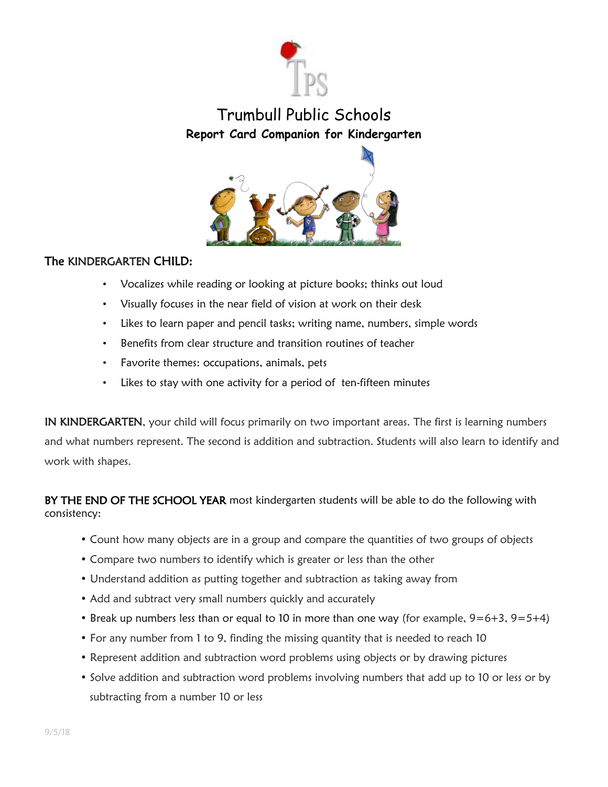



## The KINDERGARTEN CHILD:

- Vocalizes while reading or looking at picture books; thinks out loud
- Visually focuses in the near field of vision at work on their desk
- Likes to learn paper and pencil tasks; writing name, numbers, simple words
- Benefits from clear structure and transition routines of teacher
- Favorite themes: occupations, animals, pets
- Likes to stay with one activity for a period of ten-fifteen minutes

IN KINDERGARTEN, your child will focus primarily on two important areas. The first is learning numbers and what numbers represent. The second is addition and subtraction. Students will also learn to identify and work with shapes.

BY THE END OF THE SCHOOL YEAR most kindergarten students will be able to do the following with consistency:

- Count how many objects are in a group and compare the quantities of two groups of objects
- Compare two numbers to identify which is greater or less than the other
- Understand addition as putting together and subtraction as taking away from
- Add and subtract very small numbers quickly and accurately
- Break up numbers less than or equal to 10 in more than one way (for example,  $9=6+3$ ,  $9=5+4$ )
- For any number from 1 to 9, finding the missing quantity that is needed to reach 10
- Represent addition and subtraction word problems using objects or by drawing pictures
- Solve addition and subtraction word problems involving numbers that add up to 10 or less or by subtracting from a number 10 or less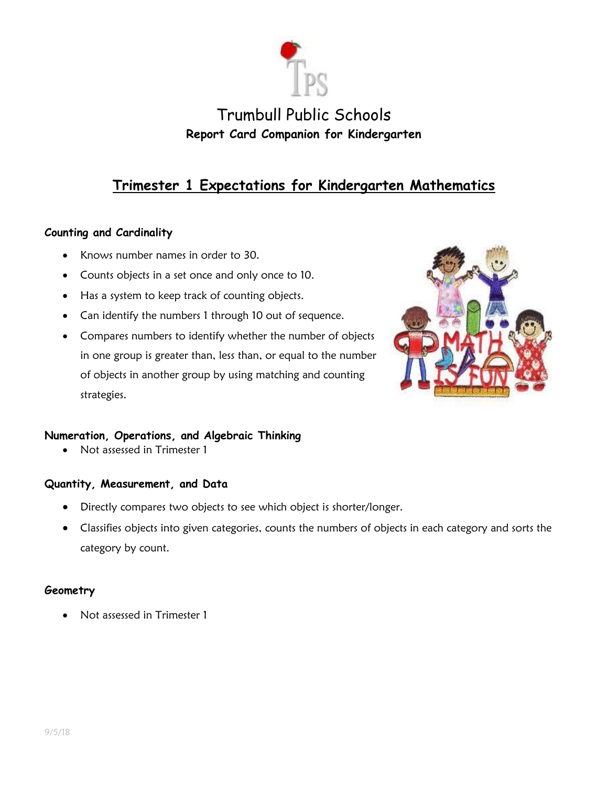

# **Trimester 1 Expectations for Kindergarten Mathematics**

### **Counting and Cardinality**

- Knows number names in order to 30.
- Counts objects in a set once and only once to 10.
- Has a system to keep track of counting objects.
- Can identify the numbers 1 through 10 out of sequence.
- Compares numbers to identify whether the number of objects in one group is greater than, less than, or equal to the number of objects in another group by using matching and counting strategies.



### **Numeration, Operations, and Algebraic Thinking**

Not assessed in Trimester 1

#### **Quantity, Measurement, and Data**

- Directly compares two objects to see which object is shorter/longer.
- Classifies objects into given categories, counts the numbers of objects in each category and sorts the category by count.

#### **Geometry**

Not assessed in Trimester 1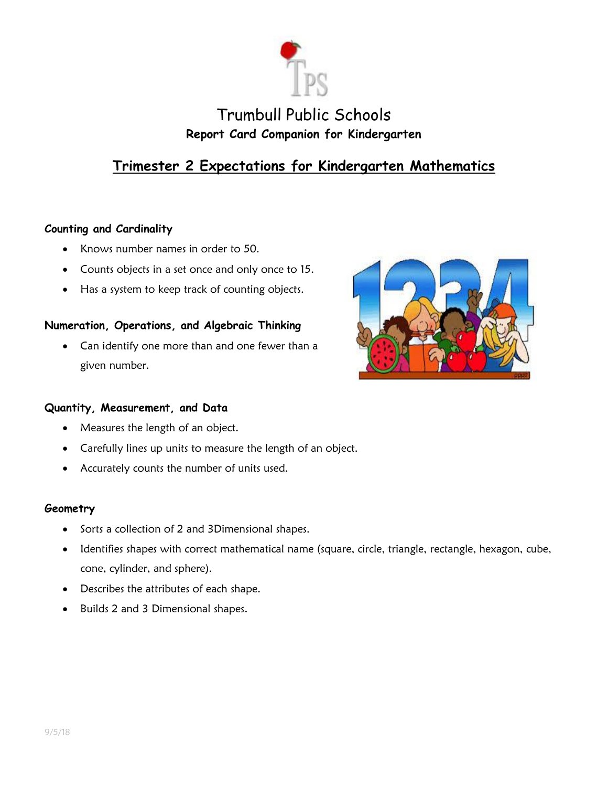

# **Trimester 2 Expectations for Kindergarten Mathematics**

### **Counting and Cardinality**

- Knows number names in order to 50.
- Counts objects in a set once and only once to 15.
- Has a system to keep track of counting objects.

### **Numeration, Operations, and Algebraic Thinking**

 Can identify one more than and one fewer than a given number.



#### **Quantity, Measurement, and Data**

- Measures the length of an object.
- Carefully lines up units to measure the length of an object.
- Accurately counts the number of units used.

#### **Geometry**

- Sorts a collection of 2 and 3Dimensional shapes.
- Identifies shapes with correct mathematical name (square, circle, triangle, rectangle, hexagon, cube, cone, cylinder, and sphere).
- Describes the attributes of each shape.
- Builds 2 and 3 Dimensional shapes.